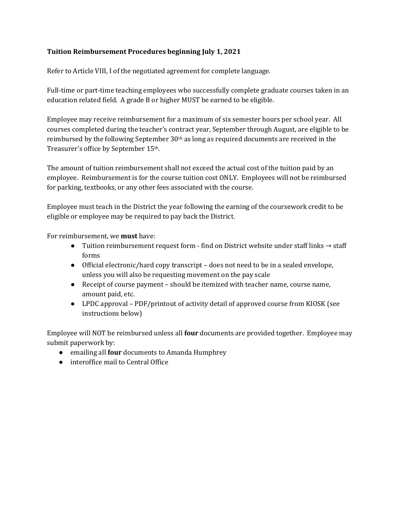## Tuition Reimbursement Procedures beginning July 1, 2021

Refer to Article VIII, I of the negotiated agreement for complete language.

Full-time or part-time teaching employees who successfully complete graduate courses taken in an education related field. A grade B or higher MUST be earned to be eligible.

Employee may receive reimbursement for a maximum of six semester hours per school year. All courses completed during the teacher's contract year, September through August, are eligible to be reimbursed by the following September 30th as long as required documents are received in the Treasurer's office by September 15th.

The amount of tuition reimbursement shall not exceed the actual cost of the tuition paid by an employee. Reimbursement is for the course tuition cost ONLY. Employees will not be reimbursed for parking, textbooks, or any other fees associated with the course.

Employee must teach in the District the year following the earning of the coursework credit to be eligible or employee may be required to pay back the District.

For reimbursement, we must have:

- Tuition reimbursement request form find on District website under staff links → staff forms
- Official electronic/hard copy transcript does not need to be in a sealed envelope, unless you will also be requesting movement on the pay scale
- Receipt of course payment should be itemized with teacher name, course name, amount paid, etc.
- LPDC approval PDF/printout of activity detail of approved course from KIOSK (see instructions below)

Employee will NOT be reimbursed unless all **four** documents are provided together. Employee may submit paperwork by:

- emailing all four documents to Amanda Humphrey
- interoffice mail to Central Office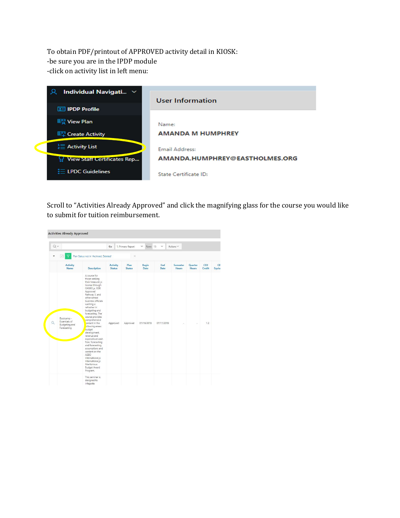To obtain PDF/printout of APPROVED activity detail in KIOSK: -be sure you are in the IPDP module -click on activity list in left menu:



Scroll to "Activities Already Approved" and click the magnifying glass for the course you would like to submit for tuition reimbursement.